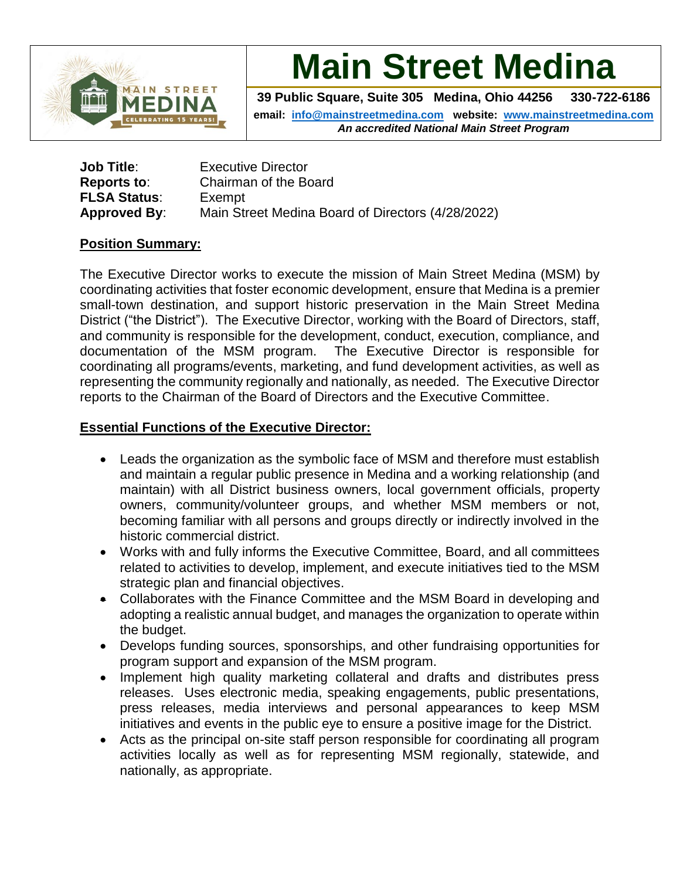

**Main Street Medina**

**39 Public Square, Suite 305 Medina, Ohio 44256 330-722-6186**

**email: [info@mainstreetmedina.com](mailto:info@mainstreetmedina.com) website: [www.mainstreetmedina.com](http://www.mainstreetmedina.com/)** *An accredited National Main Street Program*

| <b>Job Title:</b>   | <b>Executive Director</b>                         |
|---------------------|---------------------------------------------------|
| Reports to:         | Chairman of the Board                             |
| <b>FLSA Status:</b> | Exempt                                            |
| Approved By:        | Main Street Medina Board of Directors (4/28/2022) |

### **Position Summary:**

The Executive Director works to execute the mission of Main Street Medina (MSM) by coordinating activities that foster economic development, ensure that Medina is a premier small-town destination, and support historic preservation in the Main Street Medina District ("the District"). The Executive Director, working with the Board of Directors, staff, and community is responsible for the development, conduct, execution, compliance, and documentation of the MSM program. The Executive Director is responsible for coordinating all programs/events, marketing, and fund development activities, as well as representing the community regionally and nationally, as needed. The Executive Director reports to the Chairman of the Board of Directors and the Executive Committee.

### **Essential Functions of the Executive Director:**

- Leads the organization as the symbolic face of MSM and therefore must establish and maintain a regular public presence in Medina and a working relationship (and maintain) with all District business owners, local government officials, property owners, community/volunteer groups, and whether MSM members or not, becoming familiar with all persons and groups directly or indirectly involved in the historic commercial district.
- Works with and fully informs the Executive Committee, Board, and all committees related to activities to develop, implement, and execute initiatives tied to the MSM strategic plan and financial objectives.
- Collaborates with the Finance Committee and the MSM Board in developing and adopting a realistic annual budget, and manages the organization to operate within the budget.
- Develops funding sources, sponsorships, and other fundraising opportunities for program support and expansion of the MSM program.
- Implement high quality marketing collateral and drafts and distributes press releases. Uses electronic media, speaking engagements, public presentations, press releases, media interviews and personal appearances to keep MSM initiatives and events in the public eye to ensure a positive image for the District.
- Acts as the principal on-site staff person responsible for coordinating all program activities locally as well as for representing MSM regionally, statewide, and nationally, as appropriate.